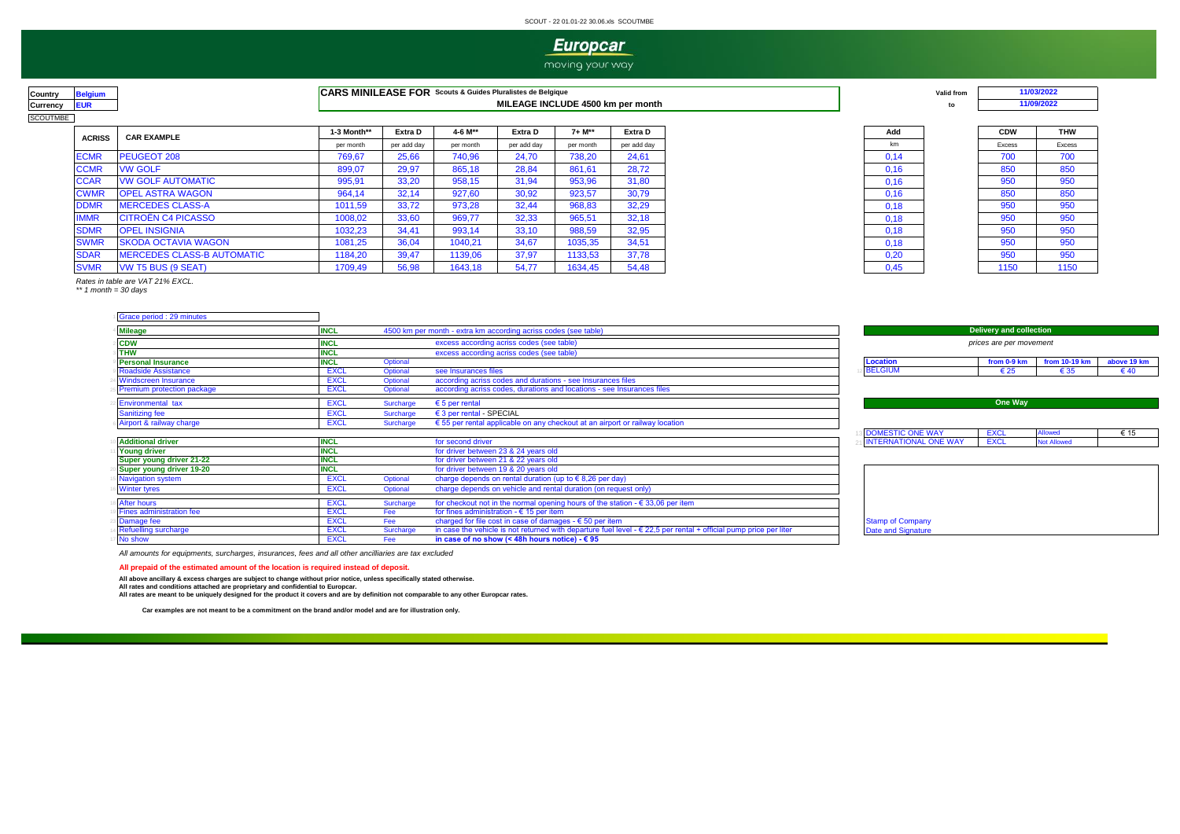#### SCOUT - 22 01.01-22 30.06.xls SCOUTMBE

## **Europcar**

moving your way

| ountrv   | aium  |
|----------|-------|
| Currency | FI IR |
| COUTMBE  |       |

**COUNTRY ARRIGATE SE SOUTHER SOUTHER SCOUTS & Guides Pluralistes de Belgique CARS MINILEASE FOR** Scouts & Guides Pluralistes de Belgique **And Arrival and Arrival and Arrival and Arrival and Arrival and Arrival and Arriva Currency EUR to MILEAGE INCLUDE 4500 km per month**

| <b>ACRISS</b> | <b>CAR EXAMPLE</b>                | 1-3 Month** | Extra D     | 4-6 M**   | Extra D     | 7+ M**    | Extra D     |
|---------------|-----------------------------------|-------------|-------------|-----------|-------------|-----------|-------------|
|               |                                   | per month   | per add day | per month | per add day | per month | per add day |
| <b>ECMR</b>   | PEUGEOT 208                       | 769.67      | 25.66       | 740,96    | 24.70       | 738.20    | 24.61       |
| <b>CCMR</b>   | <b>VW GOLF</b>                    | 899,07      | 29,97       | 865,18    | 28,84       | 861,61    | 28.72       |
| <b>CCAR</b>   | <b>VW GOLF AUTOMATIC</b>          | 995,91      | 33,20       | 958,15    | 31,94       | 953,96    | 31,80       |
| <b>CWMR</b>   | <b>OPEL ASTRA WAGON</b>           | 964,14      | 32,14       | 927,60    | 30,92       | 923,57    | 30.79       |
| <b>DDMR</b>   | <b>MERCEDES CLASS-A</b>           | 1011,59     | 33,72       | 973,28    | 32,44       | 968,83    | 32,29       |
| <b>IMMR</b>   | <b>CITROËN C4 PICASSO</b>         | 1008,02     | 33,60       | 969,77    | 32,33       | 965,51    | 32,18       |
| <b>SDMR</b>   | <b>OPEL INSIGNIA</b>              | 1032,23     | 34,41       | 993.14    | 33,10       | 988,59    | 32,95       |
| <b>SWMR</b>   | <b>SKODA OCTAVIA WAGON</b>        | 1081,25     | 36,04       | 1040.21   | 34.67       | 1035,35   | 34.51       |
| <b>SDAR</b>   | <b>MERCEDES CLASS-B AUTOMATIC</b> | 1184,20     | 39,47       | 1139,06   | 37,97       | 1133,53   | 37,78       |
| <b>SVMR</b>   | <b>VW T5 BUS (9 SEAT)</b>         | 1709.49     | 56.98       | 1643.18   | 54.77       | 1634.45   | 54.48       |





| <b>CDW</b>    | <b>THW</b>    |
|---------------|---------------|
| <b>Excess</b> | <b>Excess</b> |
| 700           | 700           |
| 850           | 850           |
| 950           | 950           |
| 850           | 850           |
| 950           | 950           |
| 950           | 950           |
| 950           | 950           |
| 950           | 950           |
| 950           | 950           |
| 1150          | 1150          |

*\*\* 1 month = 30 days Rates in table are VAT 21% EXCL.*

|  |  | Grace period : 29 minutes |
|--|--|---------------------------|
|  |  |                           |

| <b>Mileage</b>                  |             |           | 4500 km per month - extra km according acriss codes (see table)                                                            |                              | <b>Delivery and collection</b> |                    |               |  |  |
|---------------------------------|-------------|-----------|----------------------------------------------------------------------------------------------------------------------------|------------------------------|--------------------------------|--------------------|---------------|--|--|
| <b>CDW</b>                      | <b>NCL</b>  |           | excess according acriss codes (see table)                                                                                  |                              | prices are per movement        |                    |               |  |  |
| <b>THW</b>                      | <b>NCL</b>  |           | excess according acriss codes (see table)                                                                                  |                              |                                |                    |               |  |  |
| <b>Personal Insurance</b>       | <b>INCL</b> | Optional  |                                                                                                                            | <b>Location</b>              | from 0-9 km                    | from 10-19 km      | above 19 km   |  |  |
| <b>Roadside Assistance</b>      | <b>EXCL</b> | Optional  | see Insurances files                                                                                                       | <b>BELGIUM</b>               | $\epsilon$ 25                  |                    | $\epsilon$ 40 |  |  |
| <b>Windscreen Insurance</b>     | <b>EXCL</b> | Optional  | according acriss codes and durations - see Insurances files                                                                |                              |                                |                    |               |  |  |
| Premium protection package      | <b>EXCL</b> | Optional  | according acriss codes, durations and locations - see Insurances files                                                     |                              |                                |                    |               |  |  |
| Environmental tax               | <b>EXCL</b> | Surcharge | $\epsilon$ 5 per rental                                                                                                    |                              | One Way                        |                    |               |  |  |
| <b>Sanitizing fee</b>           | <b>EXCL</b> | Surcharge | € 3 per rental - SPECIAL                                                                                                   |                              |                                |                    |               |  |  |
| Airport & railway charge        | <b>EXCL</b> | Surcharge | $\epsilon$ 55 per rental applicable on any checkout at an airport or railway location                                      |                              |                                |                    |               |  |  |
|                                 |             |           |                                                                                                                            | <b>DOMESTIC ONE WAY</b>      | <b>EXCL</b>                    | <b>Allowed</b>     | € 15          |  |  |
| <b>Additional driver</b>        | <b>INCL</b> |           | for second driver                                                                                                          | <b>INTERNATIONAL ONE WAY</b> | <b>EXCL</b>                    | <b>Not Allowed</b> |               |  |  |
| <b>Young driver</b>             | <b>INCL</b> |           | for driver between 23 & 24 years old                                                                                       |                              |                                |                    |               |  |  |
| Super young driver 21-22        | <b>NCL</b>  |           | for driver between 21 & 22 years old                                                                                       |                              |                                |                    |               |  |  |
| Super young driver 19-20        | <b>NCL</b>  |           | for driver between 19 & 20 years old                                                                                       |                              |                                |                    |               |  |  |
| <b>Navigation system</b>        | <b>EXCL</b> | Optional  | charge depends on rental duration (up to $\epsilon$ 8,26 per day)                                                          |                              |                                |                    |               |  |  |
| <b>Winter tyres</b>             | <b>EXCL</b> | Optional  | charge depends on vehicle and rental duration (on request only)                                                            |                              |                                |                    |               |  |  |
| After hours                     | <b>EXCL</b> | Surcharge | for checkout not in the normal opening hours of the station - $\epsilon$ 33,06 per item                                    |                              |                                |                    |               |  |  |
| <b>Fines administration fee</b> | <b>EXCL</b> | Fee       | for fines administration - $\epsilon$ 15 per item                                                                          |                              |                                |                    |               |  |  |
| Damage fee                      | <b>EXCL</b> | Fee       | charged for file cost in case of damages - $650$ per item                                                                  | <b>Stamp of Company</b>      |                                |                    |               |  |  |
| <b>Refuelling surcharge</b>     | <b>EXCL</b> | Surcharge | in case the vehicle is not returned with departure fuel level $- \epsilon 22.5$ per rental + official pump price per liter | Date and Signature           |                                |                    |               |  |  |
| No show                         | <b>EXCL</b> | Fee       | in case of no show (< 48h hours notice) - $\epsilon$ 95                                                                    |                              |                                |                    |               |  |  |

*All amounts for equipments, surcharges, insurances, fees and all other ancilliaries are tax excluded*

#### **All prepaid of the estimated amount of the location is required instead of deposit.**

All above ancillary & excess charges are subject to change without prior notice, unless specifically stated otherwise.<br>All rates and conditions attached are proprietary and confidential to Europcar.<br>All rates are meant to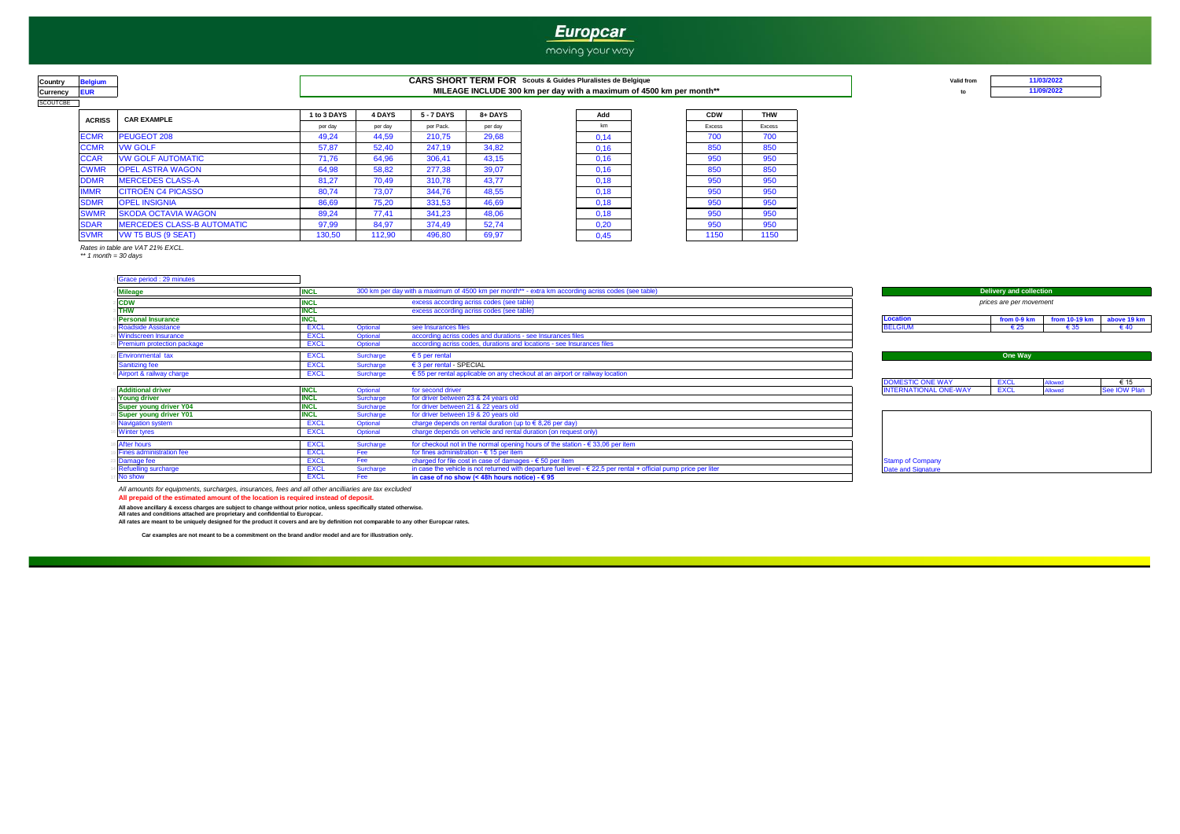## **Europcar**

#### moving your way

# SCOUTCBE

#### **COUNT READING AND READING A CARS SHORT TERM FOR** Scouts & Guides Pluralistes de Belgique **Valid from** Valid from **Currency EUR to MILEAGE INCLUDE 300 km per day with a maximum of 4500 km per month\*\***

| <b>ACRISS</b> | <b>CAR EXAMPLE</b>                | 1 to 3 DAYS | <b>4 DAYS</b> | <b>5-7 DAYS</b> | 8+ DAYS | Add  | <b>CDW</b> |      |
|---------------|-----------------------------------|-------------|---------------|-----------------|---------|------|------------|------|
|               |                                   | per day     | per day       | per Pack.       | per day | km   | Excess     |      |
| <b>ECMR</b>   | PEUGEOT 208                       | 49.24       | 44,59         | 210.75          | 29,68   | 0,14 | 700        |      |
| <b>CCMR</b>   | <b>VW GOLF</b>                    | 57,87       | 52,40         | 247,19          | 34,82   | 0,16 | 850        |      |
| <b>CCAR</b>   | <b>VW GOLF AUTOMATIC</b>          | 71,76       | 64.96         | 306,41          | 43,15   | 0,16 | 950        | 950  |
| <b>CWMR</b>   | <b>OPEL ASTRA WAGON</b>           | 64,98       | 58,82         | 277,38          | 39,07   | 0,16 | 850        | 850  |
| <b>DDMR</b>   | <b>MERCEDES CLASS-A</b>           | 81.27       | 70.49         | 310.78          | 43,77   | 0,18 | 950        | 950  |
| <b>IMMR</b>   | <b>CITROËN C4 PICASSO</b>         | 80,74       | 73,07         | 344,76          | 48,55   | 0,18 | 950        | 950  |
| <b>SDMR</b>   | <b>OPEL INSIGNIA</b>              | 86,69       | 75,20         | 331,53          | 46,69   | 0,18 | 950        | 950  |
| <b>SWMR</b>   | <b>SKODA OCTAVIA WAGON</b>        | 89,24       | 77.41         | 341,23          | 48,06   | 0,18 | 950        | 950  |
| <b>SDAR</b>   | <b>MERCEDES CLASS-B AUTOMATIC</b> | 97,99       | 84.97         | 374.49          | 52.74   | 0,20 | 950        | 950  |
| <b>SVMR</b>   | VW T5 BUS (9 SEAT)                | 130,50      | 112,90        | 496,80          | 69,97   | 0,45 | 1150       | 1150 |

| d              | <b>CDW</b> |  |
|----------------|------------|--|
|                | Excess     |  |
| 4              | 700        |  |
| 6              | 850        |  |
| 6              | 950        |  |
| 6              | 850        |  |
| 8              | 950        |  |
| 8              | 950        |  |
| 8              | 950        |  |
| 8              | 950        |  |
| o              | 950        |  |
| $\overline{5}$ | 1150       |  |

*\*\* 1 month = 30 days Rates in table are VAT 21% EXCL.*

| Grace period : 29 minutes     |             |                  |                                                                                                    |                              |                         |                 |               |
|-------------------------------|-------------|------------------|----------------------------------------------------------------------------------------------------|------------------------------|-------------------------|-----------------|---------------|
| <b>Mileage</b>                | <b>INCL</b> |                  | 300 km per day with a maximum of 4500 km per month** - extra km according acriss codes (see table) |                              | Delivery and collection |                 |               |
| <b>CDW</b>                    | <b>INCL</b> |                  | excess according acriss codes (see table)                                                          |                              | prices are per movement |                 |               |
| <b>THW</b>                    | <b>INCL</b> |                  | excess according acriss codes (see table)                                                          |                              |                         |                 |               |
| <b>Personal Insurance</b>     | <b>INCL</b> |                  |                                                                                                    | <b>Location</b>              | from 0-9 km             | from $10-19$ km | above 19 km   |
| Roadside Assistance           | EXCI        | <b>Optional</b>  | see Insurances files                                                                               | <b>BELGIUM</b>               | € 25                    | € 35            | $\epsilon$ 40 |
| Windscreen Insurance          | EXCL        | Optional         | according acriss codes and durations - see Insurances files                                        |                              |                         |                 |               |
| Premium protection package    | EXCL        | Optional         | according acriss codes, durations and locations - see Insurances files                             |                              |                         |                 |               |
| <b>Environmental tax</b>      | <b>EXCL</b> | Surcharge        | $\epsilon$ 5 per rental                                                                            |                              | One Way                 |                 |               |
| <b>Sanitizing fee</b>         | <b>EXCL</b> | Surcharge        | € 3 per rental - SPECIAL                                                                           |                              |                         |                 |               |
| Airport & railway charge      | <b>EXCL</b> | Surcharge        | $\epsilon$ 55 per rental applicable on any checkout at an airport or railway location              |                              |                         |                 |               |
|                               |             |                  |                                                                                                    | DOMESTIC ONE WAY             | <b>EXCL</b>             | <b>Allowed</b>  | € 15          |
| <b>Additional driver</b>      | <b>INCL</b> | Optional         | for second driver                                                                                  | <b>INTERNATIONAL ONE-WAY</b> | <b>EXCL</b>             | <b>Allowed</b>  | See IOW Plan  |
| <b>Young driver</b>           | <b>INCL</b> | Surcharge        | for driver between 23 & 24 years old                                                               |                              |                         |                 |               |
| <b>Super young driver Y04</b> | <b>INCL</b> | Surcharge        | for driver between 21 & 22 years old                                                               |                              |                         |                 |               |
| Super voung driver Y01        | <b>INCI</b> | <b>Surcharge</b> | for driver between 19 & 20 years old                                                               |                              |                         |                 |               |

| Auuluvilai ulivel               |             | opuonan   | <u>iui scuulu ulivci </u>                                                                                                 | <b>THE CONSTITUTION CONCENTRATION</b> |
|---------------------------------|-------------|-----------|---------------------------------------------------------------------------------------------------------------------------|---------------------------------------|
| <b>Young driver</b>             | <b>INCL</b> | Surcharge | for driver between 23 & 24 years old                                                                                      |                                       |
| <b>Super young driver Y04</b>   | INGL        | Surcharge | for driver between 21 & 22 years old                                                                                      |                                       |
| Super young driver Y01          | INUL        | Surcharge | for driver between 19 & 20 years old                                                                                      |                                       |
| Navigation system               | <b>EXCL</b> | Optional  | charge depends on rental duration (up to $\epsilon$ 8,26 per day)                                                         |                                       |
| <b>Winter tyres</b>             | <b>EXCL</b> | Optional  | charge depends on vehicle and rental duration (on request only)                                                           |                                       |
| <b>After hours</b>              | <b>EXCL</b> | Surcharge | for checkout not in the normal opening hours of the station - $\epsilon$ 33,06 per item                                   |                                       |
| <b>Fines administration fee</b> | <b>EXCL</b> |           | for fines administration - $\epsilon$ 15 per item                                                                         |                                       |
| Damage fee                      | EXCL        | Fee       | charged for file cost in case of damages - $\epsilon$ 50 per item                                                         | <b>Stamp of Company</b>               |
| Refuelling surcharge            | EXCL        | Surcharge | in case the vehicle is not returned with departure fuel level $-\epsilon$ 22,5 per rental + official pump price per liter | Date and Signature                    |
| No show                         | EXCL        |           | in case of no show (< 48h hours notice) - $\epsilon$ 95                                                                   |                                       |
|                                 |             |           |                                                                                                                           |                                       |

All amounts for equipments, surcharges, insurances, fees and all other ancilliaries are tax excluded<br><mark>All prepaid of the estimated amount of the location is required instead of deposit.</mark>

All above ancillary & excess charges are subject to change without prior notice, unless specifically stated otherwise.<br>All rates and conditions attached are proprietary and confidential to Europcar.<br>All rates are meant to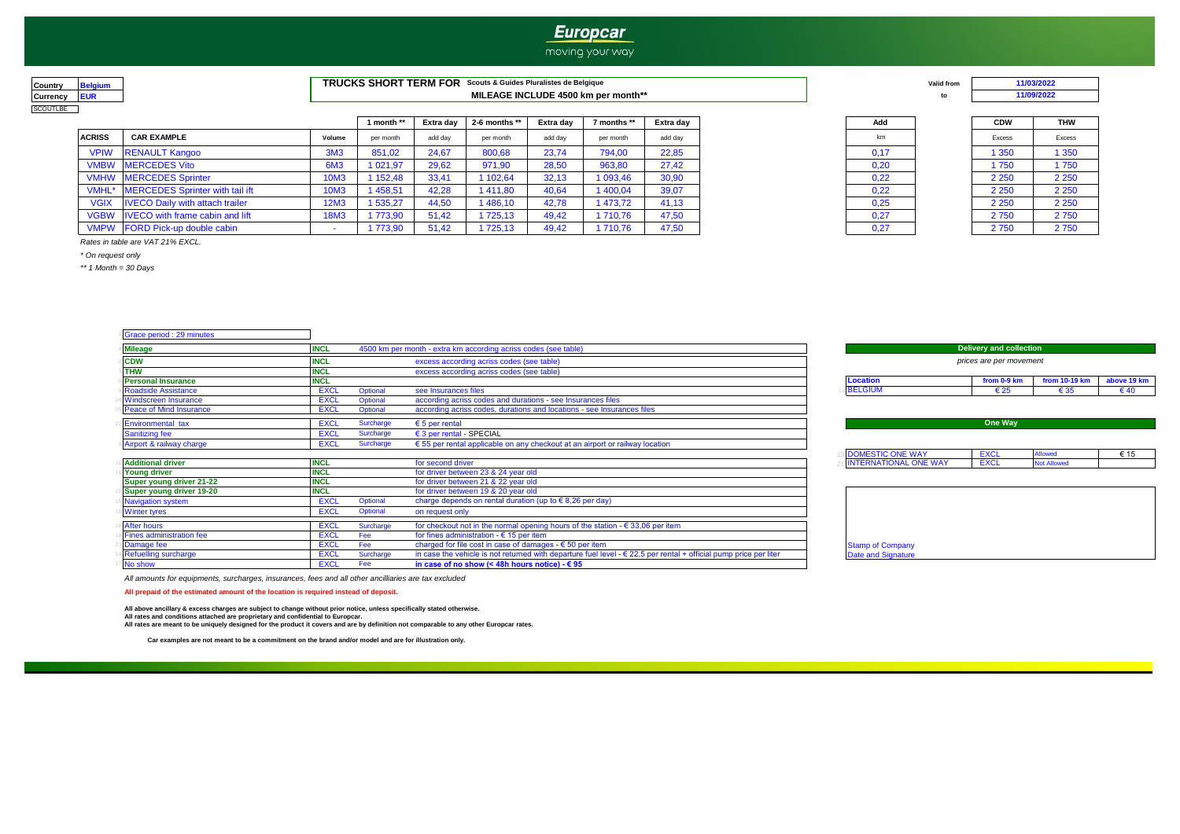### **Europcar**

#### moving your way

| <b>Country</b> | laium |
|----------------|-------|
| Currency       | IR    |
| COLITI RE      |       |

| Country                | TRUCKS SHORT TERM FOR<br>Scouts & Guides Pluralistes de Belgique | 'olid from |  |
|------------------------|------------------------------------------------------------------|------------|--|
| Currency<br><b>EU.</b> | MILEAGE INCLUDE 4500 km per month**                              |            |  |

|  |  | Val<br> |
|--|--|---------|
|  |  |         |

**11/09/2022**

|               |                                             |                 | 1 month ** | Extra dav | 2-6 months $**$ | Extra dav | 7 months ** | Extra dav | Add  | <b>CDW</b> | <b>THW</b> |
|---------------|---------------------------------------------|-----------------|------------|-----------|-----------------|-----------|-------------|-----------|------|------------|------------|
| <b>ACRISS</b> | <b>CAR EXAMPLE</b>                          | Volume          | per month  | add day   | per month       | add dav   | per month   | add dav   | km   | Excess     | Excess     |
| <b>VPIW</b>   | <b>RENAULT Kangoo</b>                       | 3M <sub>3</sub> | 851,02     | 24,67     | 800,68          | 23,74     | 794,00      | 22,85     | 0,17 | 1 350      | 1 350      |
|               | <b>VMBW</b> MERCEDES Vito                   | 6M <sub>3</sub> | 1 021,97   | 29,62     | 971,90          | 28,50     | 963,80      | 27.42     | 0,20 | 1750       | 1750       |
|               | <b>VMHW</b> MERCEDES Sprinter               | 10M3            | 1 152.48   | 33,41     | 102,64          | 32.13     | 1 093.46    | 30.90     | 0,22 | 2 2 5 0    | 2 2 5 0    |
|               | VMHL* MERCEDES Sprinter with tail ift       | 10M3            | 1458,51    | 42,28     | 411,80          | 40,64     | 1 400,04    | 39,07     | 0,22 | 2 2 5 0    | 2 2 5 0    |
|               | VGIX <b>IVECO Daily with attach trailer</b> | 12M3            | 1 535,27   | 44,50     | 486,10          | 42,78     | 1473.72     | 41,13     | 0,25 | 2 2 5 0    | 2 2 5 0    |
|               | VGBW   IVECO with frame cabin and lift      | <b>18M3</b>     | 1773.90    | 51,42     | 725.13          | 49.42     | 1 710.76    | 47,50     | 0,27 | 2750       | 2750       |
|               | VMPW FORD Pick-up double cabin              |                 | 1773,90    | 51,42     | 725,13          | 49,42     | 1 710,76    | 47,50     | 0,27 | 2750       | 2750       |

| Add  |  |
|------|--|
| km   |  |
| 0,17 |  |
| 0,20 |  |
| 0,22 |  |
| 0,22 |  |
| 0,25 |  |
| 0,27 |  |
| በ 27 |  |

| <b>CDW</b>    | <b>THW</b>    |
|---------------|---------------|
| <b>Excess</b> | <b>Excess</b> |
| 1 350         | 1 350         |
| 1 750         | 1750          |
| 2 2 5 0       | 2 2 5 0       |
| 2 2 5 0       | 2 2 5 0       |
| 2 2 5 0       | 2 2 5 0       |
| 2750          | 2750          |
| 2750          | 2750          |

*Rates in table are VAT 21% EXCL.*

*\* On request only*

*\*\* 1 Month = 30 Days*

**Brace period : 29 minutes INCL** 4500 km per month - extra km according acriss codes (see table) **CDW**<br> **INCL**<br> **INCL**<br> **INCL**<br> **INCL**<br> **INCL**<br> **INCL**<br> **INCL**<br> **INCL**<br> **INCL**<br> **INCL**<br> **INCL**<br> **INCL**<br> **INCL THW INCL** excess according acriss codes (see table)<br> **Personal Insurance INCL**  $\frac{1}{2}$  **Personal Insurance Insurance Insurance Insurance Insurance Insurance Insurance Insurance Insurance Insurance Insurance Insurance Insurance Insurance Insurance Insurance Insurance** 9 Roadside Assistance Communication in the EXCL Optional see Insurances files 12 € 25 € 40  $\pm$  55 € 40  $\pm$  55 € 40  $\pm$  55 € 40  $\pm$  55 € 40  $\pm$  55 € 40  $\pm$  55 € 40  $\pm$  55 € 40  $\pm$  55 € 40  $\pm$  55 € 40  $\pm$  55  $\pm$ 24 Creen Insurance EXCL Optional according acriss codes and durations - see Insurances files<br>24 Optional according acriss codes, durations and locations - see Insurances files Peace of Mind Insurance **EXCL** Optional according acriss codes, durations and locations - see Insurances files <sup>22</sup> Environmental tax EXCL Surcharge € 5 per rental Sanitizing fee EXCL Surcharge € 3 per rental - SPECIAL Allowed <sup>6</sup> Airport & railway charge EXCL Surcharge € 55 per rental applicable on any checkout at an airport or railway location  $\textcolor{red}{\text{13}} \textcolor{black}{\text{18}}$  DOMESTIC ONE WAY  $\textcolor{red}{\text{18}}$  EXCL Allowed  $\textcolor{red}{\text{6}}$  15 10 **Additional driver INCL INCL** and the problem of the second driver 21 INTERNATIONAL ONE WAY EXCL Not Allowed 11 **Young driver**<br> **INCL** for driver between 23 & 24 year old<br> **INCL** for driver between 21 & 22 year old<br> **INCL** for driver between 21 & 22 year old **Super young driver 21-22 INCL** for driver between 21 & 22 year old<br> **Super young driver 19-20 INCL** for driver between 19 & 20 year old **20 Year old Change of the Super of the Super of the Super of the Spherican Spherican Change depends on rental duration (** Navigation system **EXCL** <sup>16</sup> Winter tyres EXCL Optional on request only 18 After hours extending the station of the station of the station of the station - € 33,06 per item<br>
Fines administration fee EXCL Fee for fines administration - € 15 per item 19 Fines administration fee<br>19 FINCL Fee for fines administration - € 15 per item<br>19 FINCL Fee charged for file cost in case of damages 23 Damage fee EXCL Fee charged for file cost in case of damages - € 50 per item<br>23 Date and Stamp of Company<br>23 Date and Signature in case the vehicle is not returned with departure fuel level - € 22,5 per rental + offic 14 Refuelling surcharge EXCL Surcharge in case the vehicle is not returned with departure fuel level - € 22,5 per rental + official pump price per liter<br>No show Signature 10 Date and Signature 2016 Price and Signature and in case of no show (< 48h hours notice)  $-6.95$ *prices are per movement* **Delivery and collection**  charge depends on rental duration (up to € 8,26 per day) **One Way** BELGIUM **Location**

*All amounts for equipments, surcharges, insurances, fees and all other ancilliaries are tax excluded*

**All prepaid of the estimated amount of the location is required instead of deposit.**

**All rates are meant to be uniquely designed for the product it covers and are by definition not comparable to any other Europcar rates. All above ancillary & excess charges are subject to change without prior notice, unless specifically stated otherwise. All rates and conditions attached are proprietary and confidential to Europcar.**